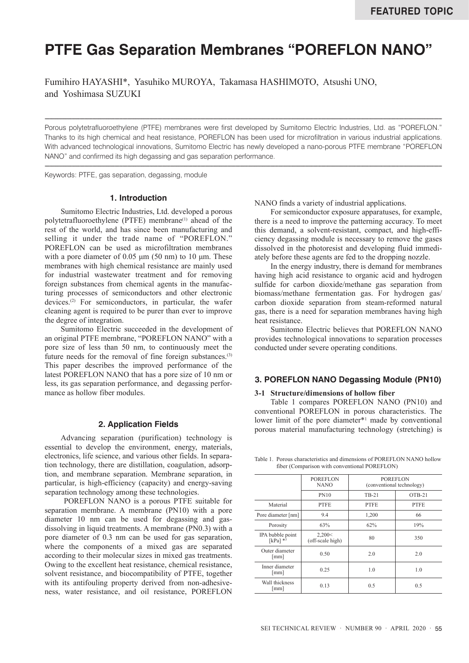# **PTFE Gas Separation Membranes "POREFLON NANO"**

Fumihiro HAYASHI\*, Yasuhiko MUROYA, Takamasa HASHIMOTO, Atsushi UNO, and Yoshimasa SUZUKI

Porous polytetrafluoroethylene (PTFE) membranes were first developed by Sumitomo Electric Industries, Ltd. as "POREFLON." Thanks to its high chemical and heat resistance, POREFLON has been used for microfiltration in various industrial applications. With advanced technological innovations, Sumitomo Electric has newly developed a nano-porous PTFE membrane "POREFLON NANO" and confirmed its high degassing and gas separation performance.

----------------------------------------------------------------------------------------------------------------------------------------------------------------------------------------------------------------------------------------------------------

----------------------------------------------------------------------------------------------------------------------------------------------------------------------------------------------------------------------------------------------------------

Keywords: PTFE, gas separation, degassing, module

# **1. Introduction**

Sumitomo Electric Industries, Ltd. developed a porous polytetrafluoroethylene (PTFE) membrane<sup>(1)</sup> ahead of the rest of the world, and has since been manufacturing and selling it under the trade name of "POREFLON." POREFLON can be used as microfiltration membranes with a pore diameter of  $0.05 \mu m$  (50 nm) to 10  $\mu$ m. These membranes with high chemical resistance are mainly used for industrial wastewater treatment and for removing foreign substances from chemical agents in the manufacturing processes of semiconductors and other electronic devices.(2) For semiconductors, in particular, the wafer cleaning agent is required to be purer than ever to improve the degree of integration.

Sumitomo Electric succeeded in the development of an original PTFE membrane, "POREFLON NANO" with a pore size of less than 50 nm, to continuously meet the future needs for the removal of fine foreign substances.<sup>(3)</sup> This paper describes the improved performance of the latest POREFLON NANO that has a pore size of 10 nm or less, its gas separation performance, and degassing performance as hollow fiber modules.

# **2. Application Fields**

Advancing separation (purification) technology is essential to develop the environment, energy, materials, electronics, life science, and various other fields. In separation technology, there are distillation, coagulation, adsorption, and membrane separation. Membrane separation, in particular, is high-efficiency (capacity) and energy-saving separation technology among these technologies.

 POREFLON NANO is a porous PTFE suitable for separation membrane. A membrane (PN10) with a pore diameter 10 nm can be used for degassing and gasdissolving in liquid treatments. A membrane (PN0.3) with a pore diameter of 0.3 nm can be used for gas separation, where the components of a mixed gas are separated according to their molecular sizes in mixed gas treatments. Owing to the excellent heat resistance, chemical resistance, solvent resistance, and biocompatibility of PTFE, together with its antifouling property derived from non-adhesiveness, water resistance, and oil resistance, POREFLON NANO finds a variety of industrial applications.

For semiconductor exposure apparatuses, for example, there is a need to improve the patterning accuracy. To meet this demand, a solvent-resistant, compact, and high-efficiency degassing module is necessary to remove the gases dissolved in the photoresist and developing fluid immediately before these agents are fed to the dropping nozzle.

In the energy industry, there is demand for membranes having high acid resistance to organic acid and hydrogen sulfide for carbon dioxide/methane gas separation from biomass/methane fermentation gas. For hydrogen gas/ carbon dioxide separation from steam-reformed natural gas, there is a need for separation membranes having high heat resistance.

Sumitomo Electric believes that POREFLON NANO provides technological innovations to separation processes conducted under severe operating conditions.

# **3. POREFLON NANO Degassing Module (PN10)**

#### **3-1 Structure/dimensions of hollow fiber**

Table 1 compares POREFLON NANO (PN10) and conventional POREFLON in porous characteristics. The lower limit of the pore diameter\*<sup>1</sup> made by conventional porous material manufacturing technology (stretching) is

Table 1. Porous characteristics and dimensions of POREFLON NANO hollow fiber (Comparison with conventional POREFLON)

|                                             | <b>POREFLON</b><br><b>NANO</b> | <b>POREFLON</b><br>(conventional technology) |             |
|---------------------------------------------|--------------------------------|----------------------------------------------|-------------|
|                                             | <b>PN10</b>                    | TB-21                                        | $OTB-21$    |
| Material                                    | <b>PTFE</b>                    | <b>PTFE</b>                                  | <b>PTFE</b> |
| Pore diameter [nm]                          | 9.4                            | 1,200                                        | 66          |
| Porosity                                    | 63%                            | 62%                                          | 19%         |
| IPA bubble point<br>$\lceil kPa \rceil *^3$ | 2,200<<br>(off-scale high)     | 80                                           | 350         |
| Outer diameter<br>$\lceil \text{mm} \rceil$ | 0.50                           | 2.0                                          | 2.0         |
| Inner diameter<br>[mm]                      | 0.25                           | 1.0                                          | 1.0         |
| Wall thickness<br>mm                        | 0.13                           | 0.5                                          | 0.5         |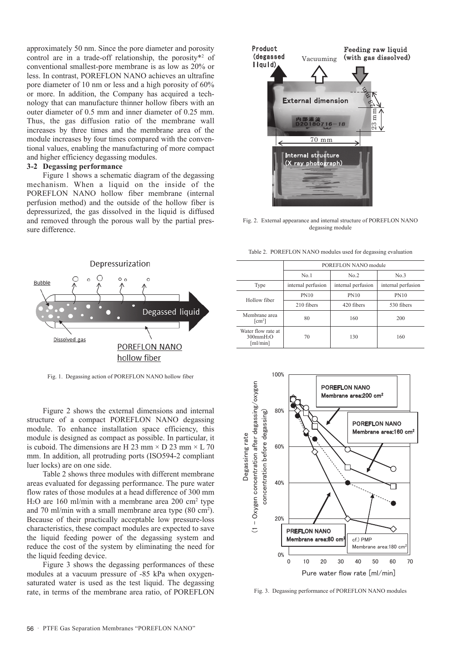approximately 50 nm. Since the pore diameter and porosity control are in a trade-off relationship, the porosity\*2 of conventional smallest-pore membrane is as low as 20% or less. In contrast, POREFLON NANO achieves an ultrafine pore diameter of 10 nm or less and a high porosity of 60% or more. In addition, the Company has acquired a technology that can manufacture thinner hollow fibers with an outer diameter of 0.5 mm and inner diameter of 0.25 mm. Thus, the gas diffusion ratio of the membrane wall increases by three times and the membrane area of the module increases by four times compared with the conventional values, enabling the manufacturing of more compact and higher efficiency degassing modules.

# **3-2 Degassing performance**

Figure 1 shows a schematic diagram of the degassing mechanism. When a liquid on the inside of the POREFLON NANO hollow fiber membrane (internal perfusion method) and the outside of the hollow fiber is depressurized, the gas dissolved in the liquid is diffused and removed through the porous wall by the partial pressure difference.



Fig. 1. Degassing action of POREFLON NANO hollow fiber

Figure 2 shows the external dimensions and internal structure of a compact POREFLON NANO degassing module. To enhance installation space efficiency, this module is designed as compact as possible. In particular, it is cuboid. The dimensions are H 23 mm  $\times$  D 23 mm  $\times$  L 70 mm. In addition, all protruding ports (ISO594-2 compliant luer locks) are on one side.

Table 2 shows three modules with different membrane areas evaluated for degassing performance. The pure water flow rates of those modules at a head difference of 300 mm H<sub>2</sub>O are 160 ml/min with a membrane area 200 cm<sup>2</sup> type and 70 ml/min with a small membrane area type (80 cm<sup>2</sup>). Because of their practically acceptable low pressure-loss characteristics, these compact modules are expected to save the liquid feeding power of the degassing system and reduce the cost of the system by eliminating the need for the liquid feeding device.

Figure 3 shows the degassing performances of these modules at a vacuum pressure of -85 kPa when oxygensaturated water is used as the test liquid. The degassing rate, in terms of the membrane area ratio, of POREFLON



Fig. 2. External appearance and internal structure of POREFLON NANO degassing module

Table 2. POREFLON NANO modules used for degassing evaluation

|                                                                        | POREFLON NANO module |                    |                    |
|------------------------------------------------------------------------|----------------------|--------------------|--------------------|
|                                                                        | No.1                 | No.2               | No.3               |
| Type                                                                   | internal perfusion   | internal perfusion | internal perfusion |
| Hollow fiber                                                           | <b>PN10</b>          | <b>PN10</b>        | <b>PN10</b>        |
|                                                                        | 210 fibers           | 420 fibers         | 530 fibers         |
| Membrane area<br>$\lceil$ cm <sup>2</sup> $\rceil$                     | 80                   | 160                | 200                |
| Water flow rate at<br>$300$ mm $H_2O$<br>$\lceil \text{ml/min} \rceil$ | 70                   | 130                | 160                |
|                                                                        |                      |                    |                    |



Fig. 3. Degassing performance of POREFLON NANO modules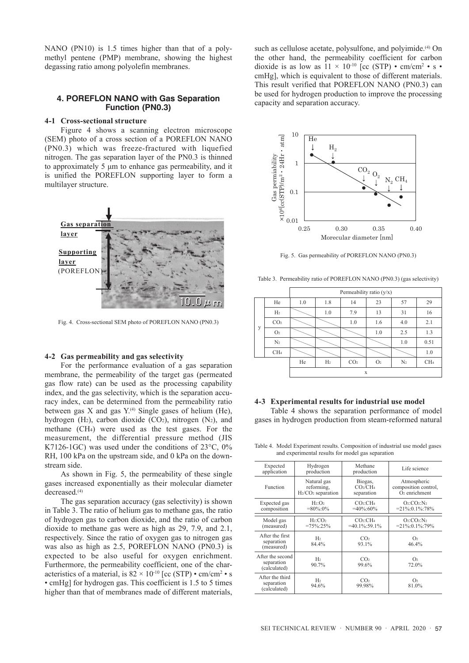NANO (PN10) is 1.5 times higher than that of a polymethyl pentene (PMP) membrane, showing the highest degassing ratio among polyolefin membranes.

# **4. POREFLON NANO with Gas Separation Function (PN0.3)**

# **4-1 Cross-sectional structure**

Figure 4 shows a scanning electron microscope (SEM) photo of a cross section of a POREFLON NANO (PN0.3) which was freeze-fractured with liquefied nitrogen. The gas separation layer of the PN0.3 is thinned to approximately 5 μm to enhance gas permeability, and it is unified the POREFLON supporting layer to form a multilayer structure.



Fig. 4. Cross-sectional SEM photo of POREFLON NANO (PN0.3)

# **4-2 Gas permeability and gas selectivity**

For the performance evaluation of a gas separation membrane, the permeability of the target gas (permeated gas flow rate) can be used as the processing capability index, and the gas selectivity, which is the separation accuracy index, can be determined from the permeability ratio between gas X and gas  $Y^{(4)}$  Single gases of helium (He), hydrogen  $(H_2)$ , carbon dioxide  $(CO_2)$ , nitrogen  $(N_2)$ , and methane (CH4) were used as the test gases. For the measurement, the differential pressure method (JIS K7126-1GC) was used under the conditions of 23°C, 0% RH, 100 kPa on the upstream side, and 0 kPa on the downstream side.

As shown in Fig. 5, the permeability of these single gases increased exponentially as their molecular diameter decreased.(4)

The gas separation accuracy (gas selectivity) is shown in Table 3. The ratio of helium gas to methane gas, the ratio of hydrogen gas to carbon dioxide, and the ratio of carbon dioxide to methane gas were as high as 29, 7.9, and 2.1, respectively. Since the ratio of oxygen gas to nitrogen gas was also as high as 2.5, POREFLON NANO (PN0.3) is expected to be also useful for oxygen enrichment. Furthermore, the permeability coefficient, one of the characteristics of a material, is  $82 \times 10^{-10}$  [cc (STP) • cm/cm<sup>2</sup> • s • cmHg] for hydrogen gas. This coefficient is 1.5 to 5 times higher than that of membranes made of different materials,

such as cellulose acetate, polysulfone, and polyimide.<sup>(4)</sup> On the other hand, the permeability coefficient for carbon dioxide is as low as  $11 \times 10^{-10}$  [cc (STP) • cm/cm<sup>2</sup> • s • cmHg], which is equivalent to those of different materials. This result verified that POREFLON NANO (PN0.3) can be used for hydrogen production to improve the processing capacity and separation accuracy.



Fig. 5. Gas permeability of POREFLON NANO (PN0.3)

Table 3. Permeability ratio of POREFLON NANO (PN0.3) (gas selectivity)

|   |                 | Permeability ratio (y/x) |                |                 |                |                |                 |
|---|-----------------|--------------------------|----------------|-----------------|----------------|----------------|-----------------|
| y | He              | 1.0                      | 1.8            | 14              | 23             | 57             | 29              |
|   | H <sub>2</sub>  |                          | 1.0            | 7.9             | 13             | 31             | 16              |
|   | CO <sub>2</sub> |                          |                | 1.0             | 1.6            | 4.0            | 2.1             |
|   | O <sub>2</sub>  |                          |                |                 | 1.0            | 2.5            | 1.3             |
|   | N <sub>2</sub>  |                          |                |                 |                | $1.0\,$        | 0.51            |
|   | CH <sub>4</sub> |                          |                |                 |                |                | 1.0             |
|   |                 | He                       | H <sub>2</sub> | CO <sub>2</sub> | O <sub>2</sub> | N <sub>2</sub> | CH <sub>4</sub> |
|   | X               |                          |                |                 |                |                |                 |

#### **4-3 Experimental results for industrial use model**

Table 4 shows the separation performance of model gases in hydrogen production from steam-reformed natural

Table 4. Model Experiment results. Composition of industrial use model gases and experimental results for model gas separation

| л.                                             |                                                  |                                                           |                                                                  |  |
|------------------------------------------------|--------------------------------------------------|-----------------------------------------------------------|------------------------------------------------------------------|--|
| Expected<br>application                        | Hydrogen<br>production                           | Methane<br>production                                     | Life science                                                     |  |
| Function                                       | Natural gas<br>reforming,<br>$H2/CO2 separation$ | Biogas,<br>CO <sub>2</sub> /CH <sub>4</sub><br>separation | Atmospheric<br>composition control,<br>$\overline{O}$ enrichment |  |
| Expected gas<br>composition                    | $H_2:O_2$<br>$=80\%:0\%$                         | CO:CH <sub>4</sub><br>$=40\% : 60\%$                      | O:CO:N <sub>2</sub><br>$=21\% :0.1\% :78\%$                      |  |
| Model gas<br>(measured)                        | $H_2$ : $CO2$<br>$=75\%:25\%$                    | CO <sub>2</sub> :CH <sub>4</sub><br>$=40.1\%:59.1\%$      | $O_2$ : $CO_2$ : $N_2$<br>$=21\%:0.1\%:79\%$                     |  |
| After the first<br>separation<br>(measured)    | H <sub>2</sub><br>84.4%                          | CO <sub>2</sub><br>93.1%                                  | O <sub>2</sub><br>46.4%                                          |  |
| After the second<br>separation<br>(calculated) | H <sub>2</sub><br>90.7%                          | CO <sub>2</sub><br>99.6%                                  | O <sub>2</sub><br>72.0%                                          |  |
| After the third<br>separation<br>(calculated)  | H <sub>2</sub><br>94.6%                          | CO <sub>2</sub><br>99.98%                                 | O <sub>2</sub><br>81.0%                                          |  |